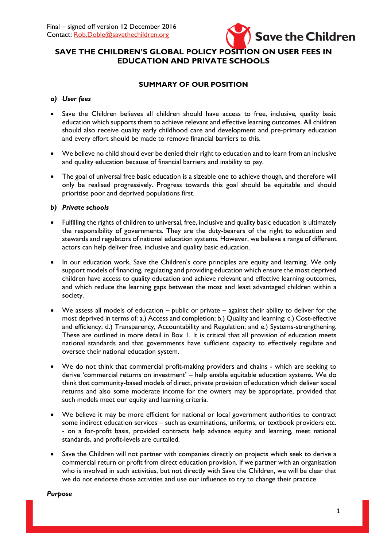

# **SAVE THE CHILDREN'S GLOBAL POLICY POSITION ON USER FEES IN EDUCATION AND PRIVATE SCHOOLS**

## **SUMMARY OF OUR POSITION**

#### *a) User fees*

- Save the Children believes all children should have access to free, inclusive, quality basic education which supports them to achieve relevant and effective learning outcomes. All children should also receive quality early childhood care and development and pre-primary education and every effort should be made to remove financial barriers to this.
- We believe no child should ever be denied their right to education and to learn from an inclusive and quality education because of financial barriers and inability to pay.
- The goal of universal free basic education is a sizeable one to achieve though, and therefore will only be realised progressively. Progress towards this goal should be equitable and should prioritise poor and deprived populations first.

#### *b) Private schools*

- Fulfilling the rights of children to universal, free, inclusive and quality basic education is ultimately the responsibility of governments. They are the duty-bearers of the right to education and stewards and regulators of national education systems. However, we believe a range of different actors can help deliver free, inclusive and quality basic education.
- In our education work, Save the Children's core principles are equity and learning. We only support models of financing, regulating and providing education which ensure the most deprived children have access to quality education and achieve relevant and effective learning outcomes, and which reduce the learning gaps between the most and least advantaged children within a society.
- We assess all models of education public or private against their ability to deliver for the most deprived in terms of: a.) Access and completion; b.) Quality and learning; c.) Cost-effective and efficiency; d.) Transparency, Accountability and Regulation; and e.) Systems-strengthening. These are outlined in more detail in Box 1. It is critical that all provision of education meets national standards and that governments have sufficient capacity to effectively regulate and oversee their national education system.
- We do not think that commercial profit-making providers and chains which are seeking to derive 'commercial returns on investment' – help enable equitable education systems. We do think that community-based models of direct, private provision of education which deliver social returns and also some moderate income for the owners may be appropriate, provided that such models meet our equity and learning criteria.
- We believe it may be more efficient for national or local government authorities to contract some indirect education services – such as examinations, uniforms, or textbook providers etc. - on a for-profit basis, provided contracts help advance equity and learning, meet national standards, and profit-levels are curtailed.
- Save the Children will not partner with companies directly on projects which seek to derive a commercial return or profit from direct education provision. If we partner with an organisation who is involved in such activities, but not directly with Save the Children, we will be clear that we do not endorse those activities and use our influence to try to change their practice.

*Purpose*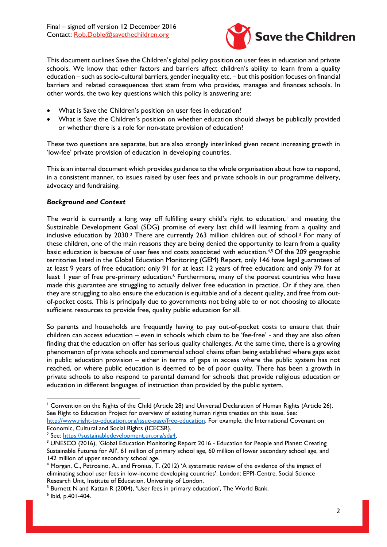Final – signed off version 12 December 2016 Contact: [Rob.Doble@savethechildren.org](mailto:Rob.Doble@savethechildren.org)



This document outlines Save the Children's global policy position on user fees in education and private schools. We know that other factors and barriers affect children's ability to learn from a quality education – such as socio-cultural barriers, gender inequality etc. – but this position focuses on financial barriers and related consequences that stem from who provides, manages and finances schools. In other words, the two key questions which this policy is answering are:

- What is Save the Children's position on user fees in education?
- What is Save the Children's position on whether education should always be publically provided or whether there is a role for non-state provision of education?

These two questions are separate, but are also strongly interlinked given recent increasing growth in 'low-fee' private provision of education in developing countries.

This is an internal document which provides guidance to the whole organisation about how to respond, in a consistent manner, to issues raised by user fees and private schools in our programme delivery, advocacy and fundraising.

### *Background and Context*

The world is currently a long way off fulfilling every child's right to education, <sup>1</sup> and meeting the Sustainable Development Goal (SDG) promise of every last child will learning from a quality and inclusive education by 2030.<sup>2</sup> There are currently 263 million children out of school.<sup>3</sup> For many of these children, one of the main reasons they are being denied the opportunity to learn from a quality basic education is because of user fees and costs associated with education.4,5 Of the 209 geographic territories listed in the Global Education Monitoring (GEM) Report, only 146 have legal guarantees of at least 9 years of free education; only 91 for at least 12 years of free education; and only 79 for at least I year of free pre-primary education.<sup>6</sup> Furthermore, many of the poorest countries who have made this guarantee are struggling to actually deliver free education in practice. Or if they are, then they are struggling to also ensure the education is equitable and of a decent quality, and free from outof-pocket costs. This is principally due to governments not being able to or not choosing to allocate sufficient resources to provide free, quality public education for all.

So parents and households are frequently having to pay out-of-pocket costs to ensure that their children can access education – even in schools which claim to be 'fee-free' - and they are also often finding that the education on offer has serious quality challenges. At the same time, there is a growing phenomenon of private schools and commercial school chains often being established where gaps exist in public education provision – either in terms of gaps in access where the public system has not reached, or where public education is deemed to be of poor quality. There has been a growth in private schools to also respond to parental demand for schools that provide religious education or education in different languages of instruction than provided by the public system.

**.** 

<sup>&</sup>lt;sup>1</sup> Convention on the Rights of the Child (Article 28) and Universal Declaration of Human Rights (Article 26). See Right to Education Project for overview of existing human rights treaties on this issue. See: [http://www.right-to-education.org/issue-page/free-education.](http://www.right-to-education.org/issue-page/free-education) For example, the International Covenant on

Economic, Cultural and Social Rights (ICECSR).

<sup>&</sup>lt;sup>2</sup> See: https://sustainabledevelopment.un.org/sdg4.

<sup>&</sup>lt;sup>3</sup> UNESCO (2016), 'Global Education Monitoring Report 2016 - Education for People and Planet: Creating Sustainable Futures for All'. 61 million of primary school age, 60 million of lower secondary school age, and 142 million of upper secondary school age.

<sup>4</sup> Morgan, C., Petrosino, A., and Fronius, T. (2012) 'A systematic review of the evidence of the impact of eliminating school user fees in low-income developing countries'. London: EPPI-Centre, Social Science Research Unit, Institute of Education, University of London.

<sup>&</sup>lt;sup>5</sup> Burnett N and Kattan R (2004), 'User fees in primary education', The World Bank.

<sup>6</sup> Ibid, p.401-404.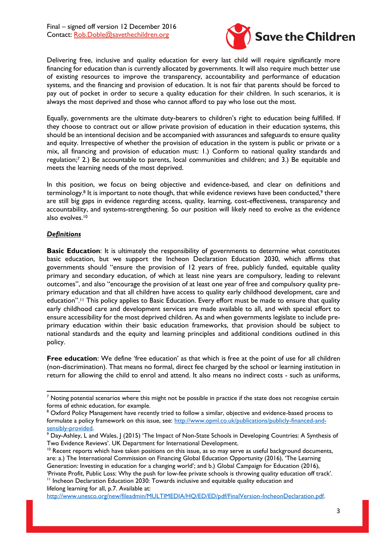

Delivering free, inclusive and quality education for every last child will require significantly more financing for education than is currently allocated by governments. It will also require much better use of existing resources to improve the transparency, accountability and performance of education systems, and the financing and provision of education. It is not fair that parents should be forced to pay out of pocket in order to secure a quality education for their children. In such scenarios, it is always the most deprived and those who cannot afford to pay who lose out the most.

Equally, governments are the ultimate duty-bearers to children's right to education being fulfilled. If they choose to contract out or allow private provision of education in their education systems, this should be an intentional decision and be accompanied with assurances and safeguards to ensure quality and equity. Irrespective of whether the provision of education in the system is public or private or a mix, all financing and provision of education must: 1.) Conform to national quality standards and regulation;<sup>7</sup> 2.) Be accountable to parents, local communities and children; and 3.) Be equitable and meets the learning needs of the most deprived.

In this position, we focus on being objective and evidence-based, and clear on definitions and terminology.<sup>8</sup> It is important to note though, that while evidence reviews have been conducted,<sup>9</sup> there are still big gaps in evidence regarding access, quality, learning, cost-effectiveness, transparency and accountability, and systems-strengthening. So our position will likely need to evolve as the evidence also evolves.<sup>10</sup>

#### *Definitions*

**Basic Education**: It is ultimately the responsibility of governments to determine what constitutes basic education, but we support the Incheon Declaration Education 2030, which affirms that governments should "ensure the provision of 12 years of free, publicly funded, equitable quality primary and secondary education, of which at least nine years are compulsory, leading to relevant outcomes", and also "encourage the provision of at least one year of free and compulsory quality preprimary education and that all children have access to quality early childhood development, care and education".<sup>11</sup> This policy applies to Basic Education. Every effort must be made to ensure that quality early childhood care and development services are made available to all, and with special effort to ensure accessibility for the most deprived children. As and when governments legislate to include preprimary education within their basic education frameworks, that provision should be subject to national standards and the equity and learning principles and additional conditions outlined in this policy.

**Free education**: We define 'free education' as that which is free at the point of use for all children (non-discrimination). That means no formal, direct fee charged by the school or learning institution in return for allowing the child to enrol and attend. It also means no indirect costs - such as uniforms,

[http://www.unesco.org/new/fileadmin/MULTIMEDIA/HQ/ED/ED/pdf/FinalVersion-IncheonDeclaration.pdf.](http://www.unesco.org/new/fileadmin/MULTIMEDIA/HQ/ED/ED/pdf/FinalVersion-IncheonDeclaration.pdf)

 $\overline{a}$  $<sup>7</sup>$  Noting potential scenarios where this might not be possible in practice if the state does not recognise certain</sup> forms of ethnic education, for example.

<sup>&</sup>lt;sup>8</sup> Oxford Policy Management have recently tried to follow a similar, objective and evidence-based process to formulate a policy framework on this issue, see: [http://www.opml.co.uk/publications/publicly-financed-and](http://www.opml.co.uk/publications/publicly-financed-and-sensibly-provided)[sensibly-provided.](http://www.opml.co.uk/publications/publicly-financed-and-sensibly-provided) 

<sup>9</sup> Day-Ashley, L and Wales, J (2015) 'The Impact of Non-State Schools in Developing Countries: A Synthesis of Two Evidence Reviews'. UK Department for International Development.

 $10$  Recent reports which have taken positions on this issue, as so may serve as useful background documents, are: a.) The International Commission on Financing Global Education Opportunity (2016), 'The Learning Generation: Investing in education for a changing world'; and b.) Global Campaign for Education (2016), 'Private Profit, Public Loss: Why the push for low-fee private schools is throwing quality education off track'.  $11$  Incheon Declaration Education 2030: Towards inclusive and equitable quality education and lifelong learning for all, p.7. Available at: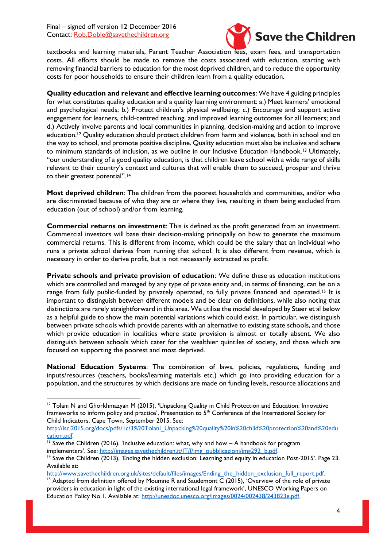Final – signed off version 12 December 2016 Contact: [Rob.Doble@savethechildren.org](mailto:Rob.Doble@savethechildren.org)



textbooks and learning materials, Parent Teacher Association fees, exam fees, and transportation costs. All efforts should be made to remove the costs associated with education, starting with removing financial barriers to education for the most deprived children, and to reduce the opportunity costs for poor households to ensure their children learn from a quality education.

**Quality education and relevant and effective learning outcomes**: We have 4 guiding principles for what constitutes quality education and a quality learning environment: a.) Meet learners' emotional and psychological needs; b.) Protect children's physical wellbeing; c.) Encourage and support active engagement for learners, child-centred teaching, and improved learning outcomes for all learners; and d.) Actively involve parents and local communities in planning, decision-making and action to improve education.<sup>12</sup> Quality education should protect children from harm and violence, both in school and on the way to school, and promote positive discipline. Quality education must also be inclusive and adhere to minimum standards of inclusion, as we outline in our Inclusive Education Handbook.<sup>13</sup> Ultimately, "our understanding of a good quality education, is that children leave school with a wide range of skills relevant to their country's context and cultures that will enable them to succeed, prosper and thrive to their greatest potential".<sup>14</sup>

**Most deprived children**: The children from the poorest households and communities, and/or who are discriminated because of who they are or where they live, resulting in them being excluded from education (out of school) and/or from learning.

**Commercial returns on investment**: This is defined as the profit generated from an investment. Commercial investors will base their decision-making principally on how to generate the maximum commercial returns. This is different from income, which could be the salary that an individual who runs a private school derives from running that school. It is also different from revenue, which is necessary in order to derive profit, but is not necessarily extracted as profit.

**Private schools and private provision of education**: We define these as education institutions which are controlled and managed by any type of private entity and, in terms of financing, can be on a range from fully public-funded by privately operated, to fully private financed and operated.<sup>15</sup> It is important to distinguish between different models and be clear on definitions, while also noting that distinctions are rarely straightforward in this area. We utilise the model developed by Steer et al below as a helpful guide to show the main potential variations which could exist. In particular, we distinguish between private schools which provide parents with an alternative to existing state schools, and those which provide education in localities where state provision is almost or totally absent. We also distinguish between schools which cater for the wealthier quintiles of society, and those which are focused on supporting the poorest and most deprived.

**National Education Systems**: The combination of laws, policies, regulations, funding and inputs/resources (teachers, books/learning materials etc.) which go into providing education for a population, and the structures by which decisions are made on funding levels, resource allocations and

[http://isci2015.org/docs/pdfs/1c/3%20Tolani\\_Unpacking%20quality%20in%20child%20protection%20and%20edu](http://isci2015.org/docs/pdfs/1c/3%20Tolani_Unpacking%20quality%20in%20child%20protection%20and%20education.pdf) [cation.pdf.](http://isci2015.org/docs/pdfs/1c/3%20Tolani_Unpacking%20quality%20in%20child%20protection%20and%20education.pdf) 

http://www.savethechildren.org.uk/sites/default/files/images/Ending\_the\_hidden\_exclusion\_full\_report.pdf.

**<sup>.</sup>** <sup>12</sup> Tolani N and Ghorkhmazyan M (2015), 'Unpacking Quality in Child Protection and Education: Innovative frameworks to inform policy and practice', Presentation to 5<sup>th</sup> Conference of the International Society for Child Indicators, Cape Town, September 2015. See:

 $13$  Save the Children (2016), 'Inclusive education: what, why and how  $-$  A handbook for program implementers'. See: http://images.savethechildren.it/IT/f/img\_pubblicazioni/img292\_b.pdf.

<sup>&</sup>lt;sup>14</sup> Save the Children (2013), 'Ending the hidden exclusion: Learning and equity in education Post-2015'. Page 23. Available at:

<sup>&</sup>lt;sup>15</sup> Adapted from definition offered by Moumne R and Saudemont C (2015), 'Overview of the role of private providers in education in light of the existing international legal framework', UNESCO Working Papers on Education Policy No.1. Available at: [http://unesdoc.unesco.org/images/0024/002438/243823e.pdf.](http://unesdoc.unesco.org/images/0024/002438/243823e.pdf)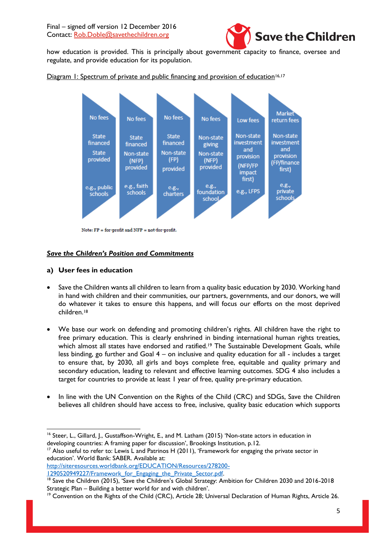

how education is provided. This is principally about government capacity to finance, oversee and regulate, and provide education for its population.

Diagram 1: Spectrum of private and public financing and provision of education<sup>16,17</sup>



Note:  $FP = for$ -profit and  $NFP = not-for$ -profit.

#### *Save the Children's Position and Commitments*

#### **a) User fees in education**

- Save the Children wants all children to learn from a quality basic education by 2030. Working hand in hand with children and their communities, our partners, governments, and our donors, we will do whatever it takes to ensure this happens, and will focus our efforts on the most deprived children.<sup>18</sup>
- We base our work on defending and promoting children's rights. All children have the right to free primary education. This is clearly enshrined in binding international human rights treaties, which almost all states have endorsed and ratified.<sup>19</sup> The Sustainable Development Goals, while less binding, go further and Goal 4 – on inclusive and quality education for all - includes a target to ensure that, by 2030, all girls and boys complete free, equitable and quality primary and secondary education, leading to relevant and effective learning outcomes. SDG 4 also includes a target for countries to provide at least 1 year of free, quality pre-primary education.
- In line with the UN Convention on the Rights of the Child (CRC) and SDGs, Save the Children believes all children should have access to free, inclusive, quality basic education which supports

<sup>17</sup> Also useful to refer to: Lewis L and Patrinos H (2011), 'Framework for engaging the private sector in education'. World Bank: SABER. Available at:

[http://siteresources.worldbank.org/EDUCATION/Resources/278200-](http://siteresources.worldbank.org/EDUCATION/Resources/278200-1290520949227/Framework_for_Engaging_the_Private_Sector.pdf) 1290520949227/Framework for Engaging the Private Sector.pdf.

<sup>1</sup> <sup>16</sup> Steer, L., Gillard, J., Gustaffson-Wright, E., and M. Latham (2015) 'Non-state actors in education in developing countries: A framing paper for discussion', Brookings Institution, p.12.

<sup>&</sup>lt;sup>18</sup> Save the Children (2015), 'Save the Children's Global Strategy: Ambition for Children 2030 and 2016-2018 Strategic Plan – Building a better world for and with children'.

<sup>&</sup>lt;sup>19</sup> Convention on the Rights of the Child (CRC), Article 28; Universal Declaration of Human Rights, Article 26.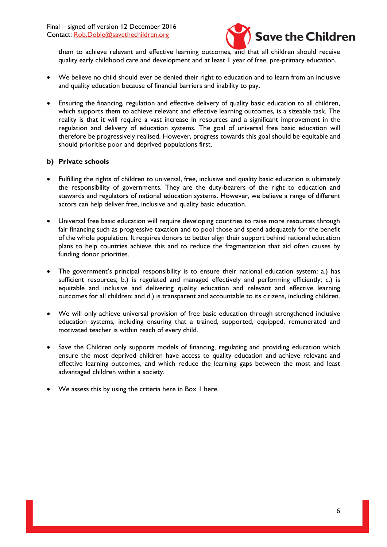

them to achieve relevant and effective learning outcomes, and that all children should receive quality early childhood care and development and at least 1 year of free, pre-primary education.

- We believe no child should ever be denied their right to education and to learn from an inclusive and quality education because of financial barriers and inability to pay.
- Ensuring the financing, regulation and effective delivery of quality basic education to all children, which supports them to achieve relevant and effective learning outcomes, is a sizeable task. The reality is that it will require a vast increase in resources and a significant improvement in the regulation and delivery of education systems. The goal of universal free basic education will therefore be progressively realised. However, progress towards this goal should be equitable and should prioritise poor and deprived populations first.

#### **b) Private schools**

- Fulfilling the rights of children to universal, free, inclusive and quality basic education is ultimately the responsibility of governments. They are the duty-bearers of the right to education and stewards and regulators of national education systems. However, we believe a range of different actors can help deliver free, inclusive and quality basic education.
- Universal free basic education will require developing countries to raise more resources through fair financing such as progressive taxation and to pool those and spend adequately for the benefit of the whole population. It requires donors to better align their support behind national education plans to help countries achieve this and to reduce the fragmentation that aid often causes by funding donor priorities.
- The government's principal responsibility is to ensure their national education system: a.) has sufficient resources; b.) is regulated and managed effectively and performing efficiently; c.) is equitable and inclusive and delivering quality education and relevant and effective learning outcomes for all children; and d.) is transparent and accountable to its citizens, including children.
- We will only achieve universal provision of free basic education through strengthened inclusive education systems, including ensuring that a trained, supported, equipped, remunerated and motivated teacher is within reach of every child.
- Save the Children only supports models of financing, regulating and providing education which ensure the most deprived children have access to quality education and achieve relevant and effective learning outcomes, and which reduce the learning gaps between the most and least advantaged children within a society.
- We assess this by using the criteria here in Box 1 here.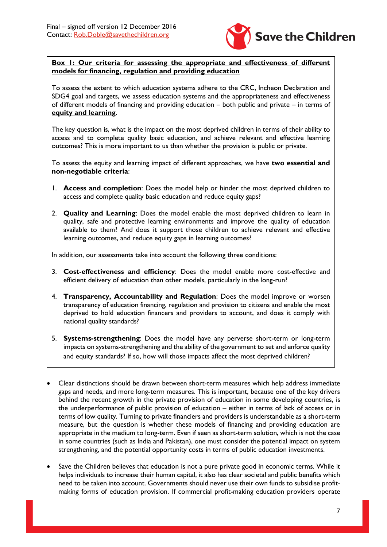

#### **Box 1: Our criteria for assessing the appropriate and effectiveness of different models for financing, regulation and providing education**

To assess the extent to which education systems adhere to the CRC, Incheon Declaration and SDG4 goal and targets, we assess education systems and the appropriateness and effectiveness of different models of financing and providing education – both public and private – in terms of **equity and learning**.

The key question is, what is the impact on the most deprived children in terms of their ability to access and to complete quality basic education, and achieve relevant and effective learning outcomes? This is more important to us than whether the provision is public or private.

To assess the equity and learning impact of different approaches, we have **two essential and non-negotiable criteria**:

- 1. **Access and completion**: Does the model help or hinder the most deprived children to access and complete quality basic education and reduce equity gaps?
- 2. **Quality and Learning**: Does the model enable the most deprived children to learn in quality, safe and protective learning environments and improve the quality of education available to them? And does it support those children to achieve relevant and effective learning outcomes, and reduce equity gaps in learning outcomes?

In addition, our assessments take into account the following three conditions:

- 3. **Cost-effectiveness and efficiency**: Does the model enable more cost-effective and efficient delivery of education than other models, particularly in the long-run?
- 4. **Transparency, Accountability and Regulation**: Does the model improve or worsen transparency of education financing, regulation and provision to citizens and enable the most deprived to hold education financers and providers to account, and does it comply with national quality standards?
- 5. **Systems-strengthening**: Does the model have any perverse short-term or long-term impacts on systems-strengthening and the ability of the government to set and enforce quality and equity standards? If so, how will those impacts affect the most deprived children?
- Clear distinctions should be drawn between short-term measures which help address immediate gaps and needs, and more long-term measures. This is important, because one of the key drivers behind the recent growth in the private provision of education in some developing countries, is the underperformance of public provision of education – either in terms of lack of access or in terms of low quality. Turning to private financiers and providers is understandable as a short-term measure, but the question is whether these models of financing and providing education are appropriate in the medium to long-term. Even if seen as short-term solution, which is not the case in some countries (such as India and Pakistan), one must consider the potential impact on system strengthening, and the potential opportunity costs in terms of public education investments.
- Save the Children believes that education is not a pure private good in economic terms. While it helps individuals to increase their human capital, it also has clear societal and public benefits which need to be taken into account. Governments should never use their own funds to subsidise profitmaking forms of education provision. If commercial profit-making education providers operate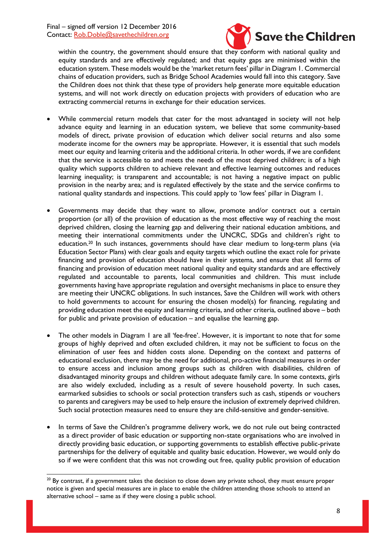

within the country, the government should ensure that they conform with national quality and equity standards and are effectively regulated; and that equity gaps are minimised within the education system. These models would be the 'market return fees' pillar in Diagram 1. Commercial chains of education providers, such as Bridge School Academies would fall into this category. Save the Children does not think that these type of providers help generate more equitable education systems, and will not work directly on education projects with providers of education who are extracting commercial returns in exchange for their education services.

- While commercial return models that cater for the most advantaged in society will not help advance equity and learning in an education system, we believe that some community-based models of direct, private provision of education which deliver social returns and also some moderate income for the owners may be appropriate. However, it is essential that such models meet our equity and learning criteria and the additional criteria. In other words, if we are confident that the service is accessible to and meets the needs of the most deprived children; is of a high quality which supports children to achieve relevant and effective learning outcomes and reduces learning inequality; is transparent and accountable; is not having a negative impact on public provision in the nearby area; and is regulated effectively by the state and the service confirms to national quality standards and inspections. This could apply to 'low fees' pillar in Diagram 1.
- Governments may decide that they want to allow, promote and/or contract out a certain proportion (or all) of the provision of education as the most effective way of reaching the most deprived children, closing the learning gap and delivering their national education ambitions, and meeting their international commitments under the UNCRC, SDGs and children's right to education. <sup>20</sup> In such instances, governments should have clear medium to long-term plans (via Education Sector Plans) with clear goals and equity targets which outline the exact role for private financing and provision of education should have in their systems, and ensure that all forms of financing and provision of education meet national quality and equity standards and are effectively regulated and accountable to parents, local communities and children. This must include governments having have appropriate regulation and oversight mechanisms in place to ensure they are meeting their UNCRC obligations. In such instances, Save the Children will work with others to hold governments to account for ensuring the chosen model(s) for financing, regulating and providing education meet the equity and learning criteria, and other criteria, outlined above – both for public and private provision of education – and equalise the learning gap.
- The other models in Diagram 1 are all 'fee-free'. However, it is important to note that for some groups of highly deprived and often excluded children, it may not be sufficient to focus on the elimination of user fees and hidden costs alone. Depending on the context and patterns of educational exclusion, there may be the need for additional, pro-active financial measures in order to ensure access and inclusion among groups such as children with disabilities, children of disadvantaged minority groups and children without adequate family care. In some contexts, girls are also widely excluded, including as a result of severe household poverty. In such cases, earmarked subsidies to schools or social protection transfers such as cash, stipends or vouchers to parents and caregivers may be used to help ensure the inclusion of extremely deprived children. Such social protection measures need to ensure they are child-sensitive and gender-sensitive.
- In terms of Save the Children's programme delivery work, we do not rule out being contracted as a direct provider of basic education or supporting non-state organisations who are involved in directly providing basic education, or supporting governments to establish effective public-private partnerships for the delivery of equitable and quality basic education. However, we would only do so if we were confident that this was not crowding out free, quality public provision of education

**<sup>.</sup>** <sup>20</sup> By contrast, if a government takes the decision to close down any private school, they must ensure proper notice is given and special measures are in place to enable the children attending those schools to attend an alternative school – same as if they were closing a public school.